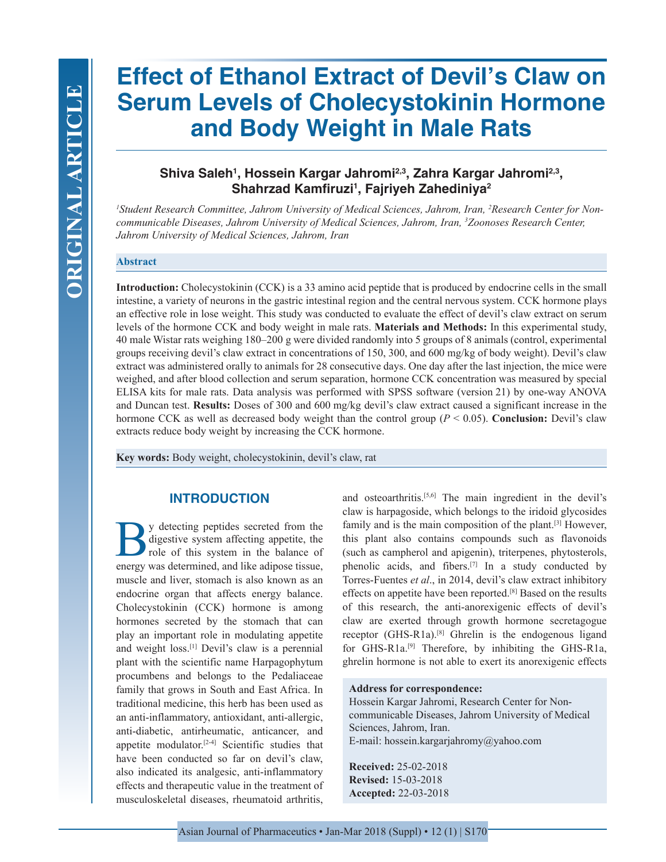# **Effect of Ethanol Extract of Devil's Claw on Serum Levels of Cholecystokinin Hormone and Body Weight in Male Rats**

## **Shiva Saleh1 , Hossein Kargar Jahromi2,3, Zahra Kargar Jahromi2,3, Shahrzad Kamfiruzi1 , Fajriyeh Zahediniya2**

*1 Student Research Committee, Jahrom University of Medical Sciences, Jahrom, Iran, 2 Research Center for Noncommunicable Diseases, Jahrom University of Medical Sciences, Jahrom, Iran, 3 Zoonoses Research Center, Jahrom University of Medical Sciences, Jahrom, Iran*

#### **Abstract**

**Introduction:** Cholecystokinin (CCK) is a 33 amino acid peptide that is produced by endocrine cells in the small intestine, a variety of neurons in the gastric intestinal region and the central nervous system. CCK hormone plays an effective role in lose weight. This study was conducted to evaluate the effect of devil's claw extract on serum levels of the hormone CCK and body weight in male rats. **Materials and Methods:** In this experimental study, 40 male Wistar rats weighing 180–200 g were divided randomly into 5 groups of 8 animals (control, experimental groups receiving devil's claw extract in concentrations of 150, 300, and 600 mg/kg of body weight). Devil's claw extract was administered orally to animals for 28 consecutive days. One day after the last injection, the mice were weighed, and after blood collection and serum separation, hormone CCK concentration was measured by special ELISA kits for male rats. Data analysis was performed with SPSS software (version 21) by one-way ANOVA and Duncan test. **Results:** Doses of 300 and 600 mg/kg devil's claw extract caused a significant increase in the hormone CCK as well as decreased body weight than the control group (*P* < 0.05). **Conclusion:** Devil's claw extracts reduce body weight by increasing the CCK hormone.

**Key words:** Body weight, cholecystokinin, devil's claw, rat

## **INTRODUCTION**

y detecting peptides secreted from the digestive system affecting appetite, the role of this system in the balance of energy was determined, and like adipose tissue, muscle and liver, stomach is also known as an endocrine organ that affects energy balance. Cholecystokinin (CCK) hormone is among hormones secreted by the stomach that can play an important role in modulating appetite and weight loss.[1] Devil's claw is a perennial plant with the scientific name Harpagophytum procumbens and belongs to the Pedaliaceae family that grows in South and East Africa. In traditional medicine, this herb has been used as an anti-inflammatory, antioxidant, anti-allergic, anti-diabetic, antirheumatic, anticancer, and appetite modulator.[2-4] Scientific studies that have been conducted so far on devil's claw, also indicated its analgesic, anti-inflammatory effects and therapeutic value in the treatment of musculoskeletal diseases, rheumatoid arthritis,

and osteoarthritis.[5,6] The main ingredient in the devil's claw is harpagoside, which belongs to the iridoid glycosides family and is the main composition of the plant.<sup>[3]</sup> However, this plant also contains compounds such as flavonoids (such as campherol and apigenin), triterpenes, phytosterols, phenolic acids, and fibers.[7] In a study conducted by Torres-Fuentes *et al*., in 2014, devil's claw extract inhibitory effects on appetite have been reported.[8] Based on the results of this research, the anti-anorexigenic effects of devil's claw are exerted through growth hormone secretagogue receptor (GHS-R1a).[8] Ghrelin is the endogenous ligand for GHS-R1a.[9] Therefore, by inhibiting the GHS-R1a, ghrelin hormone is not able to exert its anorexigenic effects

#### **Address for correspondence:**

Hossein Kargar Jahromi, Research Center for Noncommunicable Diseases, Jahrom University of Medical Sciences, Jahrom, Iran. E-mail: hossein.kargarjahromy@yahoo.com

**Received:** 25-02-2018 **Revised:** 15-03-2018 **Accepted:** 22-03-2018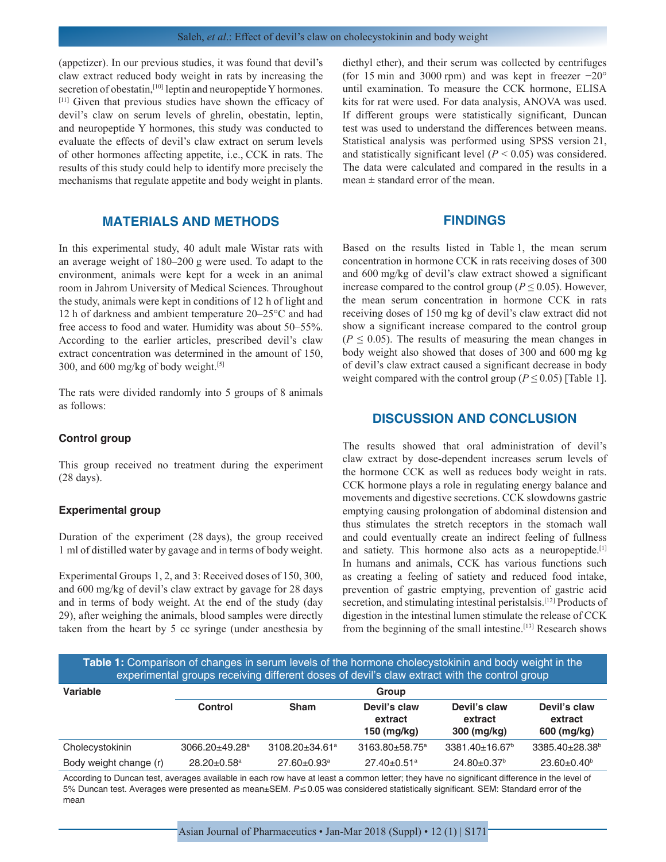(appetizer). In our previous studies, it was found that devil's claw extract reduced body weight in rats by increasing the secretion of obestatin,<sup>[10]</sup> leptin and neuropeptide Y hormones. [11] Given that previous studies have shown the efficacy of devil's claw on serum levels of ghrelin, obestatin, leptin, and neuropeptide Y hormones, this study was conducted to evaluate the effects of devil's claw extract on serum levels of other hormones affecting appetite, i.e., CCK in rats. The results of this study could help to identify more precisely the mechanisms that regulate appetite and body weight in plants.

## **MATERIALS AND METHODS**

In this experimental study, 40 adult male Wistar rats with an average weight of 180–200 g were used. To adapt to the environment, animals were kept for a week in an animal room in Jahrom University of Medical Sciences. Throughout the study, animals were kept in conditions of 12 h of light and 12 h of darkness and ambient temperature 20–25°C and had free access to food and water. Humidity was about 50–55%. According to the earlier articles, prescribed devil's claw extract concentration was determined in the amount of 150, 300, and 600 mg/kg of body weight.<sup>[5]</sup>

The rats were divided randomly into 5 groups of 8 animals as follows:

#### **Control group**

This group received no treatment during the experiment (28 days).

#### **Experimental group**

Duration of the experiment (28 days), the group received 1 ml of distilled water by gavage and in terms of body weight.

Experimental Groups 1, 2, and 3: Received doses of 150, 300, and 600 mg/kg of devil's claw extract by gavage for 28 days and in terms of body weight. At the end of the study (day 29), after weighing the animals, blood samples were directly taken from the heart by 5 cc syringe (under anesthesia by diethyl ether), and their serum was collected by centrifuges (for 15 min and 3000 rpm) and was kept in freezer −20° until examination. To measure the CCK hormone, ELISA kits for rat were used. For data analysis, ANOVA was used. If different groups were statistically significant, Duncan test was used to understand the differences between means. Statistical analysis was performed using SPSS version 21, and statistically significant level  $(P < 0.05)$  was considered. The data were calculated and compared in the results in a mean  $\pm$  standard error of the mean.

### **FINDINGS**

Based on the results listed in Table 1, the mean serum concentration in hormone CCK in rats receiving doses of 300 and 600 mg/kg of devil's claw extract showed a significant increase compared to the control group ( $P \le 0.05$ ). However, the mean serum concentration in hormone CCK in rats receiving doses of 150 mg kg of devil's claw extract did not show a significant increase compared to the control group  $(P \le 0.05)$ . The results of measuring the mean changes in body weight also showed that doses of 300 and 600 mg kg of devil's claw extract caused a significant decrease in body weight compared with the control group ( $P \le 0.05$ ) [Table 1].

## **DISCUSSION AND CONCLUSION**

The results showed that oral administration of devil's claw extract by dose-dependent increases serum levels of the hormone CCK as well as reduces body weight in rats. CCK hormone plays a role in regulating energy balance and movements and digestive secretions. CCK slowdowns gastric emptying causing prolongation of abdominal distension and thus stimulates the stretch receptors in the stomach wall and could eventually create an indirect feeling of fullness and satiety. This hormone also acts as a neuropeptide.<sup>[1]</sup> In humans and animals, CCK has various functions such as creating a feeling of satiety and reduced food intake, prevention of gastric emptying, prevention of gastric acid secretion, and stimulating intestinal peristalsis.<sup>[12]</sup> Products of digestion in the intestinal lumen stimulate the release of CCK from the beginning of the small intestine.<sup>[13]</sup> Research shows

**Table 1:** Comparison of changes in serum levels of the hormone cholecystokinin and body weight in the experimental groups receiving different doses of devil's claw extract with the control group

| Variable               | Group                          |                                  |                                        |                                        |                                        |
|------------------------|--------------------------------|----------------------------------|----------------------------------------|----------------------------------------|----------------------------------------|
|                        | <b>Control</b>                 | <b>Sham</b>                      | Devil's claw<br>extract<br>150 (mg/kg) | Devil's claw<br>extract<br>300 (mg/kg) | Devil's claw<br>extract<br>600 (mg/kg) |
| Cholecystokinin        | $3066.20 + 49.28$ <sup>a</sup> | $3108.20 \pm 34.61$ <sup>a</sup> | $3163.80 + 58.75^a$                    | $3381.40 \pm 16.67^{\circ}$            | 3385.40±28.38 <sup>b</sup>             |
| Body weight change (r) | $28.20 \pm 0.58$ <sup>a</sup>  | $27.60 \pm 0.93$ <sup>a</sup>    | $27.40 \pm 0.51$ <sup>a</sup>          | $24.80 \pm 0.37$ <sup>b</sup>          | $23.60 \pm 0.40^{\circ}$               |

According to Duncan test, averages available in each row have at least a common letter; they have no significant difference in the level of 5% Duncan test. Averages were presented as mean±SEM. P≤0.05 was considered statistically significant. SEM: Standard error of the mean